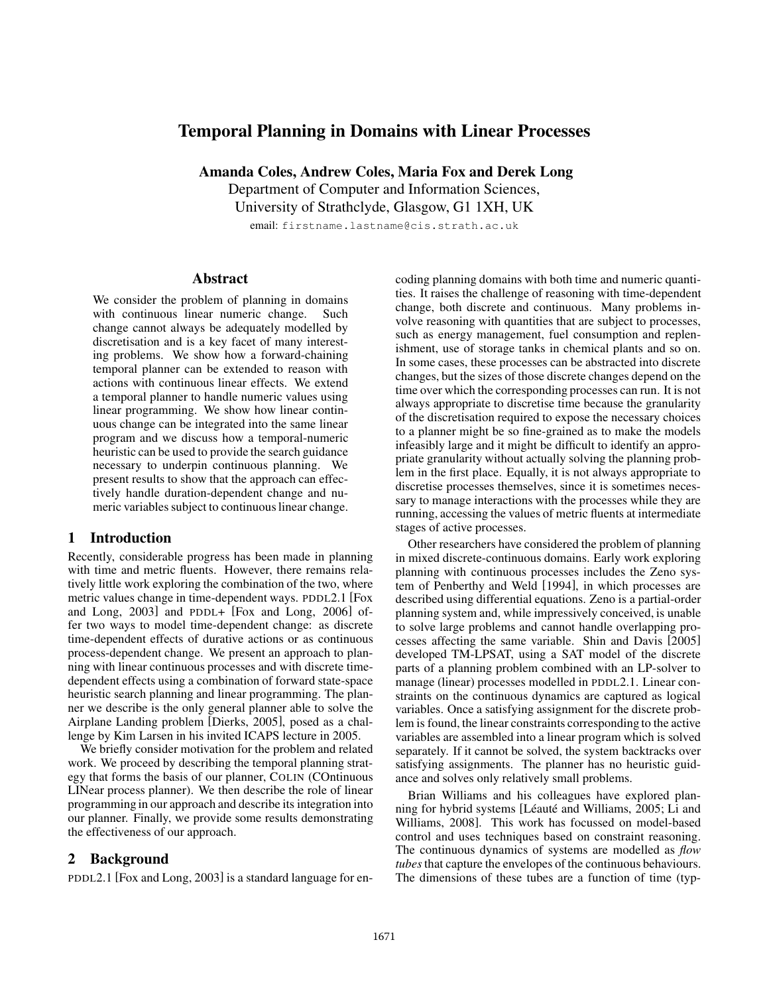# Temporal Planning in Domains with Linear Processes

Amanda Coles, Andrew Coles, Maria Fox and Derek Long

Department of Computer and Information Sciences,

University of Strathclyde, Glasgow, G1 1XH, UK

email: firstname.lastname@cis.strath.ac.uk

### **Abstract**

We consider the problem of planning in domains with continuous linear numeric change. Such change cannot always be adequately modelled by discretisation and is a key facet of many interesting problems. We show how a forward-chaining temporal planner can be extended to reason with actions with continuous linear effects. We extend a temporal planner to handle numeric values using linear programming. We show how linear continuous change can be integrated into the same linear program and we discuss how a temporal-numeric heuristic can be used to provide the search guidance necessary to underpin continuous planning. We present results to show that the approach can effectively handle duration-dependent change and numeric variables subject to continuous linear change.

## 1 Introduction

Recently, considerable progress has been made in planning with time and metric fluents. However, there remains relatively little work exploring the combination of the two, where metric values change in time-dependent ways. PDDL2.1 [Fox and Long, 2003] and PDDL+ [Fox and Long, 2006] offer two ways to model time-dependent change: as discrete time-dependent effects of durative actions or as continuous process-dependent change. We present an approach to planning with linear continuous processes and with discrete timedependent effects using a combination of forward state-space heuristic search planning and linear programming. The planner we describe is the only general planner able to solve the Airplane Landing problem [Dierks, 2005], posed as a challenge by Kim Larsen in his invited ICAPS lecture in 2005.

We briefly consider motivation for the problem and related work. We proceed by describing the temporal planning strategy that forms the basis of our planner, COLIN (COntinuous LINear process planner). We then describe the role of linear programming in our approach and describe its integration into our planner. Finally, we provide some results demonstrating the effectiveness of our approach.

## 2 Background

PDDL2.1 [Fox and Long, 2003] is a standard language for en-

coding planning domains with both time and numeric quantities. It raises the challenge of reasoning with time-dependent change, both discrete and continuous. Many problems involve reasoning with quantities that are subject to processes, such as energy management, fuel consumption and replenishment, use of storage tanks in chemical plants and so on. In some cases, these processes can be abstracted into discrete changes, but the sizes of those discrete changes depend on the time over which the corresponding processes can run. It is not always appropriate to discretise time because the granularity of the discretisation required to expose the necessary choices to a planner might be so fine-grained as to make the models infeasibly large and it might be difficult to identify an appropriate granularity without actually solving the planning problem in the first place. Equally, it is not always appropriate to discretise processes themselves, since it is sometimes necessary to manage interactions with the processes while they are running, accessing the values of metric fluents at intermediate stages of active processes.

Other researchers have considered the problem of planning in mixed discrete-continuous domains. Early work exploring planning with continuous processes includes the Zeno system of Penberthy and Weld [1994], in which processes are described using differential equations. Zeno is a partial-order planning system and, while impressively conceived, is unable to solve large problems and cannot handle overlapping processes affecting the same variable. Shin and Davis [2005] developed TM-LPSAT, using a SAT model of the discrete parts of a planning problem combined with an LP-solver to manage (linear) processes modelled in PDDL2.1. Linear constraints on the continuous dynamics are captured as logical variables. Once a satisfying assignment for the discrete problem is found, the linear constraints corresponding to the active variables are assembled into a linear program which is solved separately. If it cannot be solved, the system backtracks over satisfying assignments. The planner has no heuristic guidance and solves only relatively small problems.

Brian Williams and his colleagues have explored planning for hybrid systems [Léauté and Williams, 2005; Li and Williams, 2008]. This work has focussed on model-based control and uses techniques based on constraint reasoning. The continuous dynamics of systems are modelled as *flow tubes*that capture the envelopes of the continuous behaviours. The dimensions of these tubes are a function of time (typ-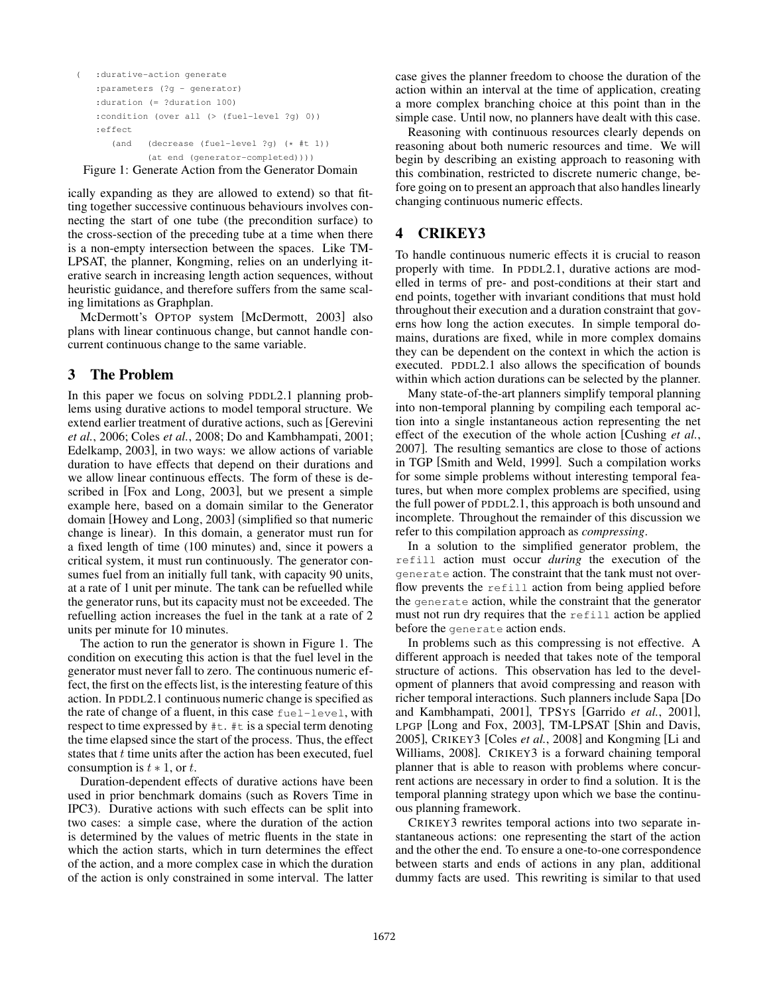```
( :durative-action generate
:parameters (?g - generator)
:duration (= ?duration 100)
:condition (over all (> (fuel-level ?g) 0))
:effect
   (and (decrease (fuel-level ?g) (* #t 1))
          (at end (generator-completed))))
```
Figure 1: Generate Action from the Generator Domain

ically expanding as they are allowed to extend) so that fitting together successive continuous behaviours involves connecting the start of one tube (the precondition surface) to the cross-section of the preceding tube at a time when there is a non-empty intersection between the spaces. Like TM-LPSAT, the planner, Kongming, relies on an underlying iterative search in increasing length action sequences, without heuristic guidance, and therefore suffers from the same scaling limitations as Graphplan.

McDermott's OPTOP system [McDermott, 2003] also plans with linear continuous change, but cannot handle concurrent continuous change to the same variable.

# 3 The Problem

In this paper we focus on solving PDDL2.1 planning problems using durative actions to model temporal structure. We extend earlier treatment of durative actions, such as [Gerevini *et al.*, 2006; Coles *et al.*, 2008; Do and Kambhampati, 2001; Edelkamp, 2003], in two ways: we allow actions of variable duration to have effects that depend on their durations and we allow linear continuous effects. The form of these is described in [Fox and Long, 2003], but we present a simple example here, based on a domain similar to the Generator domain [Howey and Long, 2003] (simplified so that numeric change is linear). In this domain, a generator must run for a fixed length of time (100 minutes) and, since it powers a critical system, it must run continuously. The generator consumes fuel from an initially full tank, with capacity 90 units, at a rate of 1 unit per minute. The tank can be refuelled while the generator runs, but its capacity must not be exceeded. The refuelling action increases the fuel in the tank at a rate of 2 units per minute for 10 minutes.

The action to run the generator is shown in Figure 1. The condition on executing this action is that the fuel level in the generator must never fall to zero. The continuous numeric effect, the first on the effects list, is the interesting feature of this action. In PDDL2.1 continuous numeric change is specified as the rate of change of a fluent, in this case fuel-level, with respect to time expressed by #t. #t is a special term denoting the time elapsed since the start of the process. Thus, the effect states that  $t$  time units after the action has been executed, fuel consumption is  $t \ast 1$ , or  $t$ .

Duration-dependent effects of durative actions have been used in prior benchmark domains (such as Rovers Time in IPC3). Durative actions with such effects can be split into two cases: a simple case, where the duration of the action is determined by the values of metric fluents in the state in which the action starts, which in turn determines the effect of the action, and a more complex case in which the duration of the action is only constrained in some interval. The latter case gives the planner freedom to choose the duration of the action within an interval at the time of application, creating a more complex branching choice at this point than in the simple case. Until now, no planners have dealt with this case.

Reasoning with continuous resources clearly depends on reasoning about both numeric resources and time. We will begin by describing an existing approach to reasoning with this combination, restricted to discrete numeric change, before going on to present an approach that also handles linearly changing continuous numeric effects.

# 4 CRIKEY3

To handle continuous numeric effects it is crucial to reason properly with time. In PDDL2.1, durative actions are modelled in terms of pre- and post-conditions at their start and end points, together with invariant conditions that must hold throughout their execution and a duration constraint that governs how long the action executes. In simple temporal domains, durations are fixed, while in more complex domains they can be dependent on the context in which the action is executed. PDDL2.1 also allows the specification of bounds within which action durations can be selected by the planner.

Many state-of-the-art planners simplify temporal planning into non-temporal planning by compiling each temporal action into a single instantaneous action representing the net effect of the execution of the whole action [Cushing *et al.*, 2007]. The resulting semantics are close to those of actions in TGP [Smith and Weld, 1999]. Such a compilation works for some simple problems without interesting temporal features, but when more complex problems are specified, using the full power of PDDL2.1, this approach is both unsound and incomplete. Throughout the remainder of this discussion we refer to this compilation approach as *compressing*.

In a solution to the simplified generator problem, the refill action must occur *during* the execution of the generate action. The constraint that the tank must not overflow prevents the refill action from being applied before the generate action, while the constraint that the generator must not run dry requires that the refill action be applied before the generate action ends.

In problems such as this compressing is not effective. A different approach is needed that takes note of the temporal structure of actions. This observation has led to the development of planners that avoid compressing and reason with richer temporal interactions. Such planners include Sapa [Do and Kambhampati, 2001], TPSYS [Garrido *et al.*, 2001], LPGP [Long and Fox, 2003], TM-LPSAT [Shin and Davis, 2005], CRIKEY3 [Coles *et al.*, 2008] and Kongming [Li and Williams, 2008]. CRIKEY3 is a forward chaining temporal planner that is able to reason with problems where concurrent actions are necessary in order to find a solution. It is the temporal planning strategy upon which we base the continuous planning framework.

CRIKEY3 rewrites temporal actions into two separate instantaneous actions: one representing the start of the action and the other the end. To ensure a one-to-one correspondence between starts and ends of actions in any plan, additional dummy facts are used. This rewriting is similar to that used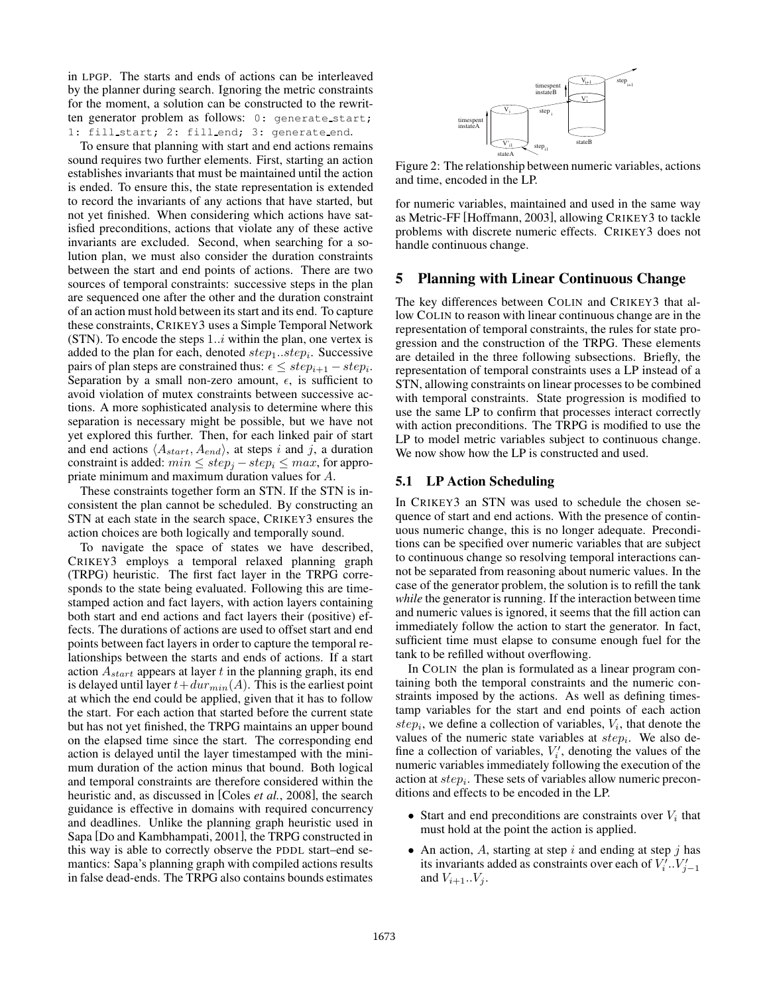in LPGP. The starts and ends of actions can be interleaved by the planner during search. Ignoring the metric constraints for the moment, a solution can be constructed to the rewritten generator problem as follows: 0: generate start; 1: fill start; 2: fill end; 3: generate end.

To ensure that planning with start and end actions remains sound requires two further elements. First, starting an action establishes invariants that must be maintained until the action is ended. To ensure this, the state representation is extended to record the invariants of any actions that have started, but not yet finished. When considering which actions have satisfied preconditions, actions that violate any of these active invariants are excluded. Second, when searching for a solution plan, we must also consider the duration constraints between the start and end points of actions. There are two sources of temporal constraints: successive steps in the plan are sequenced one after the other and the duration constraint of an action must hold between its start and its end. To capture these constraints, CRIKEY3 uses a Simple Temporal Network (STN). To encode the steps  $1..i$  within the plan, one vertex is added to the plan for each, denoted  $step_1...step_i$ . Successive pairs of plan steps are constrained thus:  $\epsilon \leq step_{i+1} - step_i$ . Separation by a small non-zero amount,  $\epsilon$ , is sufficient to avoid violation of mutex constraints between successive actions. A more sophisticated analysis to determine where this separation is necessary might be possible, but we have not yet explored this further. Then, for each linked pair of start and end actions  $\langle A_{start}, A_{end} \rangle$ , at steps i and j, a duration constraint is added:  $min \leq step_j - step_i \leq max$ , for appropriate minimum and maximum duration values for A.

These constraints together form an STN. If the STN is inconsistent the plan cannot be scheduled. By constructing an STN at each state in the search space, CRIKEY3 ensures the action choices are both logically and temporally sound.

To navigate the space of states we have described, CRIKEY3 employs a temporal relaxed planning graph (TRPG) heuristic. The first fact layer in the TRPG corresponds to the state being evaluated. Following this are timestamped action and fact layers, with action layers containing both start and end actions and fact layers their (positive) effects. The durations of actions are used to offset start and end points between fact layers in order to capture the temporal relationships between the starts and ends of actions. If a start action  $A_{start}$  appears at layer t in the planning graph, its end is delayed until layer  $t+dur_{min}(A)$ . This is the earliest point at which the end could be applied, given that it has to follow the start. For each action that started before the current state but has not yet finished, the TRPG maintains an upper bound on the elapsed time since the start. The corresponding end action is delayed until the layer timestamped with the minimum duration of the action minus that bound. Both logical and temporal constraints are therefore considered within the heuristic and, as discussed in [Coles *et al.*, 2008], the search guidance is effective in domains with required concurrency and deadlines. Unlike the planning graph heuristic used in Sapa [Do and Kambhampati, 2001], the TRPG constructed in this way is able to correctly observe the PDDL start–end semantics: Sapa's planning graph with compiled actions results in false dead-ends. The TRPG also contains bounds estimates



Figure 2: The relationship between numeric variables, actions and time, encoded in the LP.

for numeric variables, maintained and used in the same way as Metric-FF [Hoffmann, 2003], allowing CRIKEY3 to tackle problems with discrete numeric effects. CRIKEY3 does not handle continuous change.

#### 5 Planning with Linear Continuous Change

The key differences between COLIN and CRIKEY3 that allow COLIN to reason with linear continuous change are in the representation of temporal constraints, the rules for state progression and the construction of the TRPG. These elements are detailed in the three following subsections. Briefly, the representation of temporal constraints uses a LP instead of a STN, allowing constraints on linear processes to be combined with temporal constraints. State progression is modified to use the same LP to confirm that processes interact correctly with action preconditions. The TRPG is modified to use the LP to model metric variables subject to continuous change. We now show how the LP is constructed and used.

## 5.1 LP Action Scheduling

In CRIKEY3 an STN was used to schedule the chosen sequence of start and end actions. With the presence of continuous numeric change, this is no longer adequate. Preconditions can be specified over numeric variables that are subject to continuous change so resolving temporal interactions cannot be separated from reasoning about numeric values. In the case of the generator problem, the solution is to refill the tank *while* the generator is running. If the interaction between time and numeric values is ignored, it seems that the fill action can immediately follow the action to start the generator. In fact, sufficient time must elapse to consume enough fuel for the tank to be refilled without overflowing.

In COLIN the plan is formulated as a linear program containing both the temporal constraints and the numeric constraints imposed by the actions. As well as defining timestamp variables for the start and end points of each action  $step<sub>i</sub>$ , we define a collection of variables,  $V<sub>i</sub>$ , that denote the values of the numeric state variables at  $step<sub>i</sub>$ . We also define a collection of variables,  $V_i'$ , denoting the values of the numeric variables immediately following the execution of the action at  $step_i$ . These sets of variables allow numeric preconditions and effects to be encoded in the LP.

- Start and end preconditions are constraints over  $V_i$  that must hold at the point the action is applied.
- An action,  $A$ , starting at step  $i$  and ending at step  $j$  has its invariants added as constraints over each of  $V_i'$ ... $V_{j-1}'$ and  $V_{i+1}$ ... $V_i$ .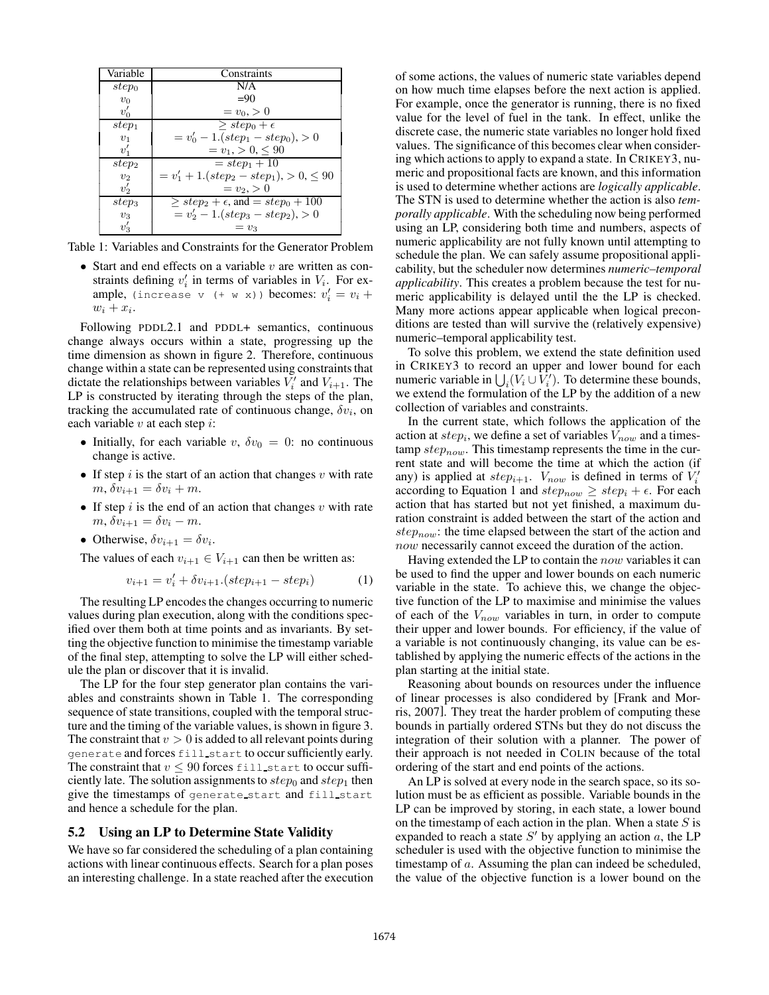| Variable       | Constraints                                  |  |
|----------------|----------------------------------------------|--|
| $step_0$       | N/A                                          |  |
| $v_0$          | $= 90$                                       |  |
| $v_0'$         | $= v_0, > 0$                                 |  |
| $step_1$       | $> step_0 + \epsilon$                        |  |
| $v_1$          | $= v'_0 - 1.(step_1 - step_0), > 0$          |  |
| $v_1'$         | $= v_1, > 0, \leq 90$                        |  |
| $step_2$       | $= step_1 + 10$                              |  |
| v <sub>2</sub> | $= v'_1 + 1.(step_2 - step_1), > 0, \leq 90$ |  |
| $v_2'$         | $= v_2 > 0$                                  |  |
| $step_3$       | $>step_2 + \epsilon$ , and $=step_0 + 100$   |  |
| $v_3$          | $= v'_2 - 1.(step_3 - step_2), > 0$          |  |
| $v_3'$         | $=v_3$                                       |  |

Table 1: Variables and Constraints for the Generator Problem

• Start and end effects on a variable  $v$  are written as constraints defining  $v'_i$  in terms of variables in  $V_i$ . For example, (increase v (+ w x)) becomes:  $v'_i = v_i +$  $w_i + x_i$ .

Following PDDL2.1 and PDDL+ semantics, continuous change always occurs within a state, progressing up the time dimension as shown in figure 2. Therefore, continuous change within a state can be represented using constraints that dictate the relationships between variables  $V_i'$  and  $V_{i+1}$ . The LP is constructed by iterating through the steps of the plan, tracking the accumulated rate of continuous change,  $\delta v_i$ , on each variable  $v$  at each step  $i$ :

- Initially, for each variable v,  $\delta v_0 = 0$ : no continuous change is active.
- If step  $i$  is the start of an action that changes  $v$  with rate  $m, \delta v_{i+1} = \delta v_i + m.$
- If step i is the end of an action that changes v with rate  $m, \delta v_{i+1} = \delta v_i - m.$
- Otherwise,  $\delta v_{i+1} = \delta v_i$ .

The values of each  $v_{i+1} \in V_{i+1}$  can then be written as:

$$
v_{i+1} = v_i' + \delta v_{i+1} (step_{i+1} - step_i)
$$
 (1)

The resulting LP encodes the changes occurring to numeric values during plan execution, along with the conditions specified over them both at time points and as invariants. By setting the objective function to minimise the timestamp variable of the final step, attempting to solve the LP will either schedule the plan or discover that it is invalid.

The LP for the four step generator plan contains the variables and constraints shown in Table 1. The corresponding sequence of state transitions, coupled with the temporal structure and the timing of the variable values, is shown in figure 3. The constraint that  $v > 0$  is added to all relevant points during generate and forces fill start to occur sufficiently early. The constraint that  $v \leq 90$  forces fill start to occur sufficiently late. The solution assignments to  $step_0$  and  $step_1$  then give the timestamps of generate start and fill start and hence a schedule for the plan.

#### 5.2 Using an LP to Determine State Validity

We have so far considered the scheduling of a plan containing actions with linear continuous effects. Search for a plan poses an interesting challenge. In a state reached after the execution of some actions, the values of numeric state variables depend on how much time elapses before the next action is applied. For example, once the generator is running, there is no fixed value for the level of fuel in the tank. In effect, unlike the discrete case, the numeric state variables no longer hold fixed values. The significance of this becomes clear when considering which actions to apply to expand a state. In CRIKEY3, numeric and propositional facts are known, and this information is used to determine whether actions are *logically applicable*. The STN is used to determine whether the action is also *temporally applicable*. With the scheduling now being performed using an LP, considering both time and numbers, aspects of numeric applicability are not fully known until attempting to schedule the plan. We can safely assume propositional applicability, but the scheduler now determines *numeric–temporal applicability*. This creates a problem because the test for numeric applicability is delayed until the the LP is checked. Many more actions appear applicable when logical preconditions are tested than will survive the (relatively expensive) numeric–temporal applicability test.

To solve this problem, we extend the state definition used in CRIKEY3 to record an upper and lower bound for each numeric variable in  $\bigcup_i (V_i \cup V'_i)$ . To determine these bounds, we extend the formulation of the LP by the addition of a new collection of variables and constraints.

In the current state, which follows the application of the action at  $step_i$ , we define a set of variables  $V_{now}$  and a timestamp  $step_{now}$ . This timestamp represents the time in the current state and will become the time at which the action (if any) is applied at  $step_{i+1}$ .  $V_{now}$  is defined in terms of  $V_i'$ according to Equation 1 and  $step_{now} \geq step_i + \epsilon$ . For each action that has started but not yet finished, a maximum duration constraint is added between the start of the action and  $step_{now}$ : the time elapsed between the start of the action and now necessarily cannot exceed the duration of the action.

Having extended the LP to contain the now variables it can be used to find the upper and lower bounds on each numeric variable in the state. To achieve this, we change the objective function of the LP to maximise and minimise the values of each of the  $V_{now}$  variables in turn, in order to compute their upper and lower bounds. For efficiency, if the value of a variable is not continuously changing, its value can be established by applying the numeric effects of the actions in the plan starting at the initial state.

Reasoning about bounds on resources under the influence of linear processes is also condidered by [Frank and Morris, 2007]. They treat the harder problem of computing these bounds in partially ordered STNs but they do not discuss the integration of their solution with a planner. The power of their approach is not needed in COLIN because of the total ordering of the start and end points of the actions.

An LP is solved at every node in the search space, so its solution must be as efficient as possible. Variable bounds in the LP can be improved by storing, in each state, a lower bound on the timestamp of each action in the plan. When a state  $S$  is expanded to reach a state S' by applying an action a, the LP scheduler is used with the objective function to minimise the timestamp of a. Assuming the plan can indeed be scheduled, the value of the objective function is a lower bound on the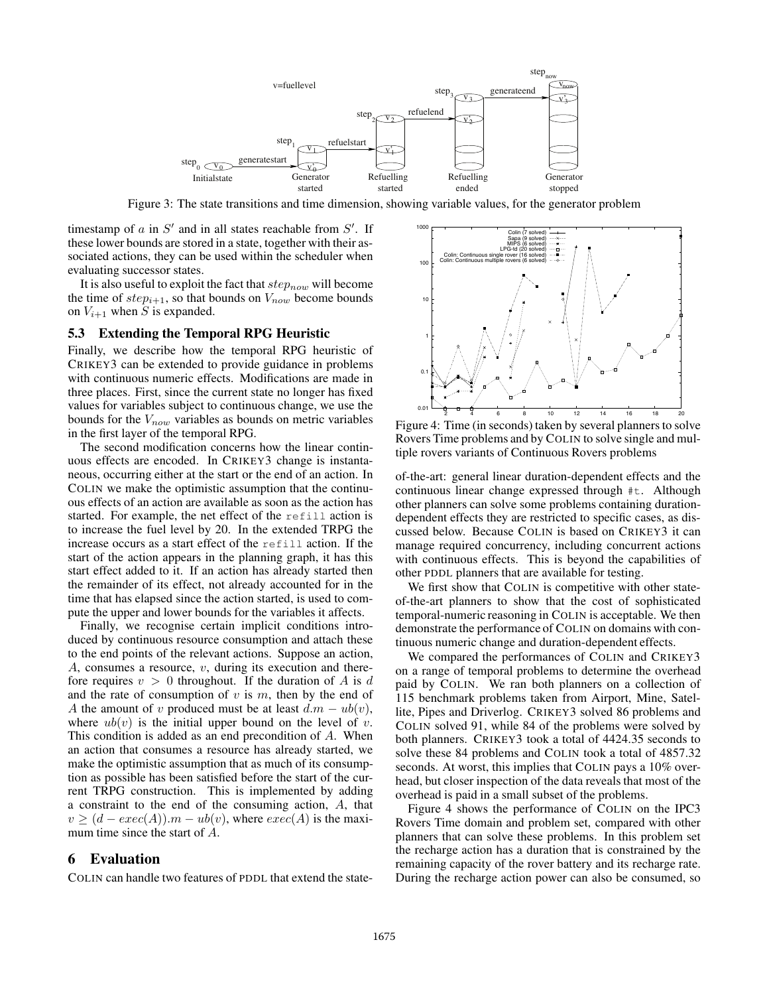

Figure 3: The state transitions and time dimension, showing variable values, for the generator problem

timestamp of  $a$  in  $S'$  and in all states reachable from  $S'$ . If these lower bounds are stored in a state, together with their associated actions, they can be used within the scheduler when evaluating successor states.

It is also useful to exploit the fact that  $step_{now}$  will become the time of  $step_{i+1}$ , so that bounds on  $V_{now}$  become bounds on  $V_{i+1}$  when S is expanded.

#### 5.3 Extending the Temporal RPG Heuristic

Finally, we describe how the temporal RPG heuristic of CRIKEY3 can be extended to provide guidance in problems with continuous numeric effects. Modifications are made in three places. First, since the current state no longer has fixed values for variables subject to continuous change, we use the bounds for the  $V_{now}$  variables as bounds on metric variables in the first layer of the temporal RPG.

The second modification concerns how the linear continuous effects are encoded. In CRIKEY3 change is instantaneous, occurring either at the start or the end of an action. In COLIN we make the optimistic assumption that the continuous effects of an action are available as soon as the action has started. For example, the net effect of the refill action is to increase the fuel level by 20. In the extended TRPG the increase occurs as a start effect of the refill action. If the start of the action appears in the planning graph, it has this start effect added to it. If an action has already started then the remainder of its effect, not already accounted for in the time that has elapsed since the action started, is used to compute the upper and lower bounds for the variables it affects.

Finally, we recognise certain implicit conditions introduced by continuous resource consumption and attach these to the end points of the relevant actions. Suppose an action, A, consumes a resource, v, during its execution and therefore requires  $v > 0$  throughout. If the duration of A is d and the rate of consumption of  $v$  is  $m$ , then by the end of A the amount of v produced must be at least  $d.m - ub(v)$ , where  $ub(v)$  is the initial upper bound on the level of v. This condition is added as an end precondition of A. When an action that consumes a resource has already started, we make the optimistic assumption that as much of its consumption as possible has been satisfied before the start of the current TRPG construction. This is implemented by adding a constraint to the end of the consuming action, A, that  $v \ge (d - exec(A)).m - ub(v)$ , where  $exec(A)$  is the maximum time since the start of A.

#### 6 Evaluation

COLIN can handle two features of PDDL that extend the state-



Figure 4: Time (in seconds) taken by several planners to solve Rovers Time problems and by COLIN to solve single and multiple rovers variants of Continuous Rovers problems

of-the-art: general linear duration-dependent effects and the continuous linear change expressed through #t. Although other planners can solve some problems containing durationdependent effects they are restricted to specific cases, as discussed below. Because COLIN is based on CRIKEY3 it can manage required concurrency, including concurrent actions with continuous effects. This is beyond the capabilities of other PDDL planners that are available for testing.

We first show that COLIN is competitive with other stateof-the-art planners to show that the cost of sophisticated temporal-numeric reasoning in COLIN is acceptable. We then demonstrate the performance of COLIN on domains with continuous numeric change and duration-dependent effects.

We compared the performances of COLIN and CRIKEY3 on a range of temporal problems to determine the overhead paid by COLIN. We ran both planners on a collection of 115 benchmark problems taken from Airport, Mine, Satellite, Pipes and Driverlog. CRIKEY3 solved 86 problems and COLIN solved 91, while 84 of the problems were solved by both planners. CRIKEY3 took a total of 4424.35 seconds to solve these 84 problems and COLIN took a total of 4857.32 seconds. At worst, this implies that COLIN pays a 10% overhead, but closer inspection of the data reveals that most of the overhead is paid in a small subset of the problems.

Figure 4 shows the performance of COLIN on the IPC3 Rovers Time domain and problem set, compared with other planners that can solve these problems. In this problem set the recharge action has a duration that is constrained by the remaining capacity of the rover battery and its recharge rate. During the recharge action power can also be consumed, so